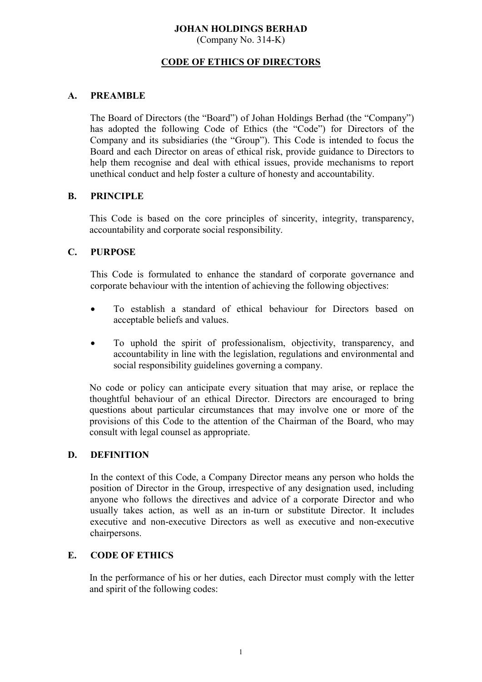# **JOHAN HOLDINGS BERHAD**

(Company No. 314-K)

## **CODE OF ETHICS OF DIRECTORS**

#### **A. PREAMBLE**

The Board of Directors (the "Board") of Johan Holdings Berhad (the "Company") has adopted the following Code of Ethics (the "Code") for Directors of the Company and its subsidiaries (the "Group"). This Code is intended to focus the Board and each Director on areas of ethical risk, provide guidance to Directors to help them recognise and deal with ethical issues, provide mechanisms to report unethical conduct and help foster a culture of honesty and accountability.

#### **B. PRINCIPLE**

This Code is based on the core principles of sincerity, integrity, transparency, accountability and corporate social responsibility.

## **C. PURPOSE**

This Code is formulated to enhance the standard of corporate governance and corporate behaviour with the intention of achieving the following objectives:

- To establish a standard of ethical behaviour for Directors based on acceptable beliefs and values.
- To uphold the spirit of professionalism, objectivity, transparency, and accountability in line with the legislation, regulations and environmental and social responsibility guidelines governing a company.

No code or policy can anticipate every situation that may arise, or replace the thoughtful behaviour of an ethical Director. Directors are encouraged to bring questions about particular circumstances that may involve one or more of the provisions of this Code to the attention of the Chairman of the Board, who may consult with legal counsel as appropriate.

#### **D. DEFINITION**

In the context of this Code, a Company Director means any person who holds the position of Director in the Group, irrespective of any designation used, including anyone who follows the directives and advice of a corporate Director and who usually takes action, as well as an in-turn or substitute Director. It includes executive and non-executive Directors as well as executive and non-executive chairpersons.

#### **E. CODE OF ETHICS**

In the performance of his or her duties, each Director must comply with the letter and spirit of the following codes: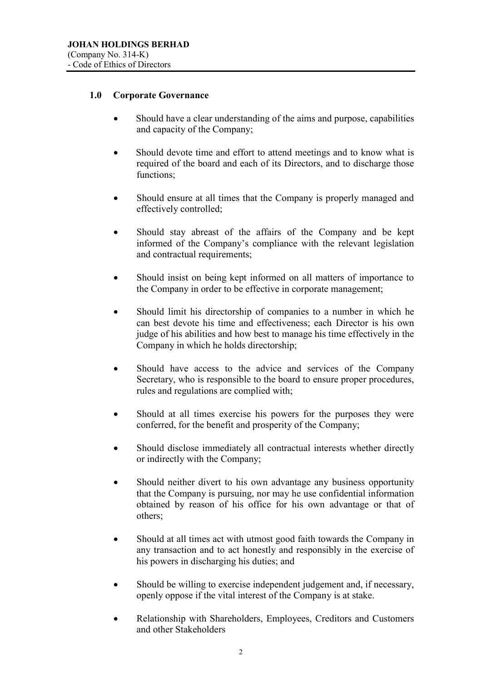## **1.0 Corporate Governance**

- Should have a clear understanding of the aims and purpose, capabilities and capacity of the Company;
- Should devote time and effort to attend meetings and to know what is required of the board and each of its Directors, and to discharge those functions;
- Should ensure at all times that the Company is properly managed and effectively controlled;
- Should stay abreast of the affairs of the Company and be kept informed of the Company's compliance with the relevant legislation and contractual requirements;
- Should insist on being kept informed on all matters of importance to the Company in order to be effective in corporate management;
- Should limit his directorship of companies to a number in which he can best devote his time and effectiveness; each Director is his own judge of his abilities and how best to manage his time effectively in the Company in which he holds directorship;
- Should have access to the advice and services of the Company Secretary, who is responsible to the board to ensure proper procedures, rules and regulations are complied with;
- Should at all times exercise his powers for the purposes they were conferred, for the benefit and prosperity of the Company;
- Should disclose immediately all contractual interests whether directly or indirectly with the Company;
- Should neither divert to his own advantage any business opportunity that the Company is pursuing, nor may he use confidential information obtained by reason of his office for his own advantage or that of others;
- Should at all times act with utmost good faith towards the Company in any transaction and to act honestly and responsibly in the exercise of his powers in discharging his duties; and
- Should be willing to exercise independent judgement and, if necessary, openly oppose if the vital interest of the Company is at stake.
- Relationship with Shareholders, Employees, Creditors and Customers and other Stakeholders